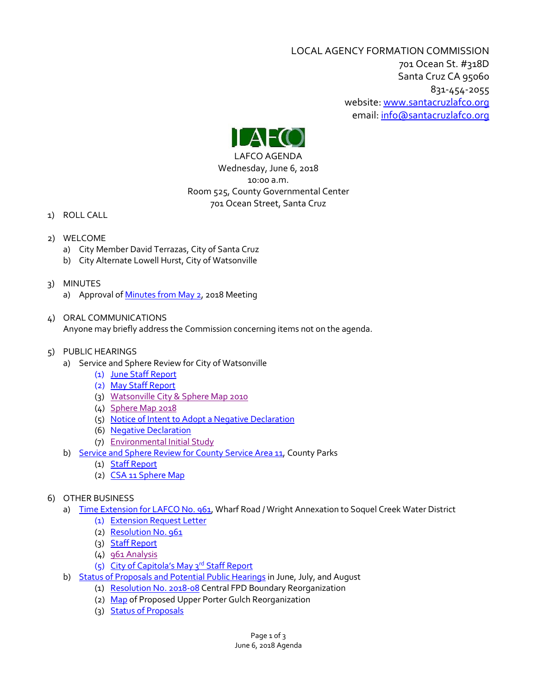LOCAL AGENCY FORMATION COMMISSION 701 Ocean St. #318D Santa Cruz CA 95060 831-454-2055 website: [www.santacruzlafco.org](http://www.santacruzlafco.org/) email[: info@santacruzlafco.org](mailto:info@santacruzlafco.org)



LAFCO AGENDA Wednesday, June 6, 2018 10:00 a.m. Room 525, County Governmental Center 701 Ocean Street, Santa Cruz

- 1) ROLL CALL
- 2) WELCOME
	- a) City Member David Terrazas, City of Santa Cruz
	- b) City Alternate Lowell Hurst, City of Watsonville
- 3) MINUTES
	- a) Approval o[f Minutes from May 2,](http://www.santacruzlafco.org/wp-content/uploads/2018/05/3a-5-2-18-Minutes.pdf) 2018 Meeting
- 4) ORAL COMMUNICATIONS

Anyone may briefly address the Commission concerning items not on the agenda.

- 5) PUBLIC HEARINGS
	- a) Service and Sphere Review for City of Watsonville
		- (1) [June Staff Report](http://www.santacruzlafco.org/wp-content/uploads/2018/05/5a-Wats-June-staff-and-attachments.pdf)
		- (2) [May Staff Report](http://www.santacruzlafco.org/wp-content/uploads/2018/04/4a1-Staff-Memo-Watsonville-Review.pdf)
		- (3) [Watsonville City & Sphere Map 2010](http://www.santacruzlafco.org/wp-content/uploads/2018/04/4a2-City-of-Watsonville-sphere-map-2010.pdf)
		- (4) [Sphere Map 2018](http://www.santacruzlafco.org/wp-content/uploads/2018/04/4a3-Wats-sphere-areas-map-2018.pdf)
		- (5) [Notice of Intent to Adopt a Negative Declaration](http://www.santacruzlafco.org/wp-content/uploads/2018/04/Notice-of-Neg-Dec.-Wats.-Sphere-Review-2018.pdf)
		- (6) [Negative Declaration](http://www.santacruzlafco.org/wp-content/uploads/2018/04/Negative-Declaration-Watsonville-Sphere-of-Influence-2018.pdf)
		- (7) [Environmental Initial Study](http://www.santacruzlafco.org/wp-content/uploads/2018/04/2018-Watsonville-Sphere-Initial-Study-April-18.pdf)
	- b) [Service and Sphere Review for County Service Area 11,](http://www.santacruzlafco.org/wp-content/uploads/2018/05/CSA-11-Parks-Rec-Review-5-29-18.pdf) County Parks
		- (1) [Staff Report](http://www.santacruzlafco.org/wp-content/uploads/2018/05/5b1-Service-and-MSR-CSA-11-staff-memo.pdf)
		- (2) [CSA 11 Sphere Map](http://www.santacruzlafco.org/wp-content/uploads/2018/05/5b2-CSA11-Sphere-2018.pdf)
- 6) OTHER BUSINESS
	- a) [Time Extension for LAFCO No. 961,](http://www.santacruzlafco.org/wp-content/uploads/2018/05/6aTime-Extension-961-Wright.pdf) Wharf Road / Wright Annexation to Soquel Creek Water District
		- (1) [Extension Request Letter](http://www.santacruzlafco.org/wp-content/uploads/2018/05/6a1-Wright-request.pdf)
		- (2) [Resolution No. 961](http://www.santacruzlafco.org/wp-content/uploads/2018/05/6a2-Res-961-Wright.pdf)
		- (3) [Staff Report](http://www.santacruzlafco.org/wp-content/uploads/2018/05/6a3-961-staff.pdf)
		- (4) [961 Analysis](http://www.santacruzlafco.org/wp-content/uploads/2018/05/6a4-961-analysis.pdf)
		- (5) [City of Capitola](http://www.santacruzlafco.org/wp-content/uploads/2018/05/6a5-May-3-2018-Wright-city-approval.pdf)'s May 3rd Staff Report
	- b) Status of Proposals [and Potential Public Hearings](http://www.santacruzlafco.org/wp-content/uploads/2018/05/6b-Status-Report-and-Potential-Meetings.pdf) in June, July, and August
		- (1) [Resolution No. 2018-08](http://www.santacruzlafco.org/wp-content/uploads/2018/05/6b1-Cent.-FPD-Res-2018-18.pdf) Central FPD Boundary Reorganization
			- (2) [Map](http://www.santacruzlafco.org/wp-content/uploads/2018/05/6b2-Potential-Reorganization-to-CFPD.pdf) of Proposed Upper Porter Gulch Reorganization
			- (3) [Status of Proposals](http://www.santacruzlafco.org/wp-content/uploads/2018/05/6b3-Status-of-Proposals-5-29-18.pdf)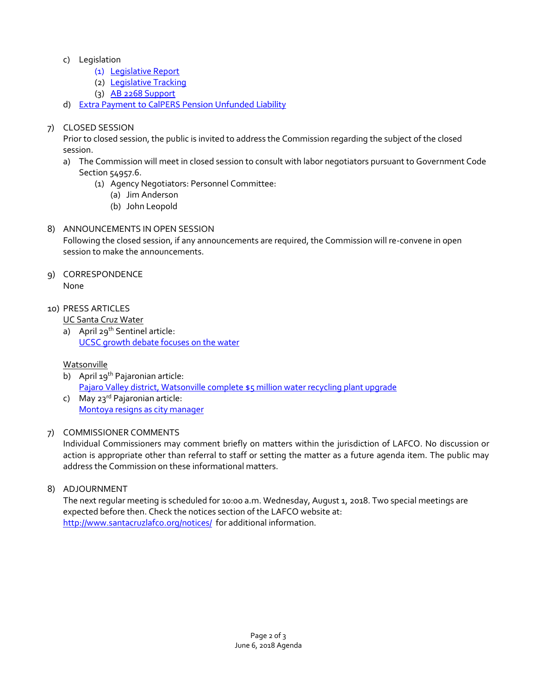- c) Legislation
	- (1) [Legislative Report](http://www.santacruzlafco.org/wp-content/uploads/2018/05/6c1-Legislative-Report-for-June-6.pdf)
	- (2) [Legislative Tracking](http://www.santacruzlafco.org/wp-content/uploads/2018/05/6c2-Legislation-Tracking-2018.pdf)
	- (3) [AB 2268 Support](http://www.santacruzlafco.org/wp-content/uploads/2018/05/6c3-Support-AB-2268-Reyes.pdf)
- d) [Extra Payment to CalPERS Pension Unfunded Liability](http://www.santacruzlafco.org/wp-content/uploads/2018/05/6d-CALPERS-Pension-Payments-2018.pdf)

## 7) CLOSED SESSION

Prior to closed session, the public is invited to address the Commission regarding the subject of the closed session.

- a) The Commission will meet in closed session to consult with labor negotiators pursuant to Government Code Section 54957.6.
	- (1) Agency Negotiators: Personnel Committee:
		- (a) Jim Anderson
		- (b) John Leopold

# 8) ANNOUNCEMENTS IN OPEN SESSION

Following the closed session, if any announcements are required, the Commission will re-convene in open session to make the announcements.

- 9) CORRESPONDENCE None
- 10) PRESS ARTICLES

UC Santa Cruz Water

a) April 29<sup>th</sup> Sentinel article: [UCSC growth debate focuses on the water](http://www.santacruzlafco.org/wp-content/uploads/2018/05/10a-UCSC-Water-April-2018.pdf)

## Watsonville

- b) April 19<sup>th</sup> Pajaronian article: Pajaro [Valley district, Watsonville complete \\$5 million water recycling plant upgrade](http://www.santacruzlafco.org/wp-content/uploads/2018/05/10b-Recycling-plant-upgrade-RP-May-3-2018.pdf)
- c) May 23<sup>rd</sup> Pajaronian article: [Montoya resigns as city manager](http://www.santacruzlafco.org/wp-content/uploads/2018/05/10c-RP-Montoya.pdf)

## 7) COMMISSIONER COMMENTS

Individual Commissioners may comment briefly on matters within the jurisdiction of LAFCO. No discussion or action is appropriate other than referral to staff or setting the matter as a future agenda item. The public may address the Commission on these informational matters.

## 8) ADJOURNMENT

The next regular meeting is scheduled for 10:00 a.m. Wednesday, August 1, 2018. Two special meetings are expected before then. Check the notices section of the LAFCO website at: <http://www.santacruzlafco.org/notices/>for additional information.